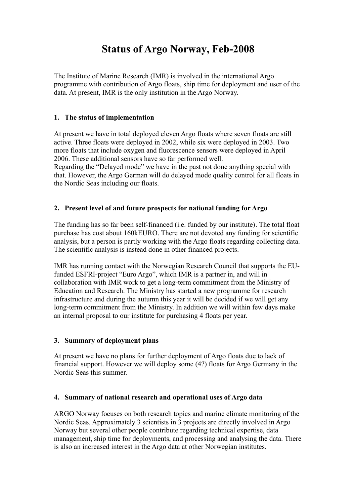# **Status of Argo Norway, Feb-2008**

The Institute of Marine Research (IMR) is involved in the international Argo programme with contribution of Argo floats, ship time for deployment and user of the data. At present, IMR is the only institution in the Argo Norway.

## **1. The status of implementation**

At present we have in total deployed eleven Argo floats where seven floats are still active. Three floats were deployed in 2002, while six were deployed in 2003. Two more floats that include oxygen and fluorescence sensors were deployed in April 2006. These additional sensors have so far performed well.

Regarding the "Delayed mode" we have in the past not done anything special with that. However, the Argo German will do delayed mode quality control for all floats in the Nordic Seas including our floats.

## **2. Present level of and future prospects for national funding for Argo**

The funding has so far been self-financed (i.e. funded by our institute). The total float purchase has cost about 160kEURO. There are not devoted any funding for scientific analysis, but a person is partly working with the Argo floats regarding collecting data. The scientific analysis is instead done in other financed projects.

IMR has running contact with the Norwegian Research Council that supports the EUfunded ESFRI-project "Euro Argo", which IMR is a partner in, and will in collaboration with IMR work to get a long-term commitment from the Ministry of Education and Research. The Ministry has started a new programme for research infrastructure and during the autumn this year it will be decided if we will get any long-term commitment from the Ministry. In addition we will within few days make an internal proposal to our institute for purchasing 4 floats per year.

### **3. Summary of deployment plans**

At present we have no plans for further deployment of Argo floats due to lack of financial support. However we will deploy some (4?) floats for Argo Germany in the Nordic Seas this summer.

### **4. Summary of national research and operational uses of Argo data**

ARGO Norway focuses on both research topics and marine climate monitoring of the Nordic Seas. Approximately 3 scientists in 3 projects are directly involved in Argo Norway but several other people contribute regarding technical expertise, data management, ship time for deployments, and processing and analysing the data. There is also an increased interest in the Argo data at other Norwegian institutes.